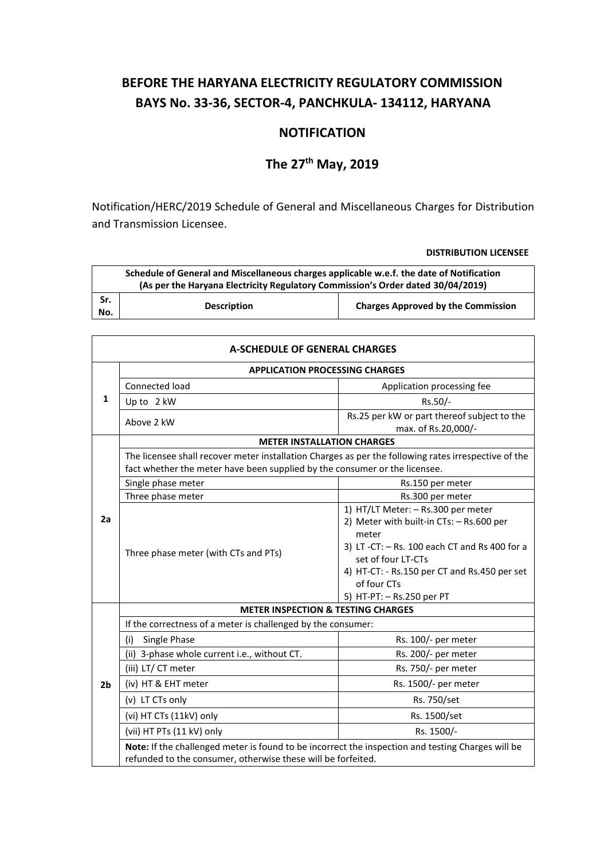# **BEFORE THE HARYANA ELECTRICITY REGULATORY COMMISSION BAYS No. 33-36, SECTOR-4, PANCHKULA- 134112, HARYANA**

# **NOTIFICATION**

# **The 27th May, 2019**

Notification/HERC/2019 Schedule of General and Miscellaneous Charges for Distribution and Transmission Licensee.

| Schedule of General and Miscellaneous charges applicable w.e.f. the date of Notification<br>(As per the Haryana Electricity Regulatory Commission's Order dated 30/04/2019) |                    |                                           |  |
|-----------------------------------------------------------------------------------------------------------------------------------------------------------------------------|--------------------|-------------------------------------------|--|
| Sr.<br>No.                                                                                                                                                                  | <b>Description</b> | <b>Charges Approved by the Commission</b> |  |

| A-SCHEDULE OF GENERAL CHARGES |                                                                                                                                                                                    |                                                                                                                                                                                                                                                              |  |
|-------------------------------|------------------------------------------------------------------------------------------------------------------------------------------------------------------------------------|--------------------------------------------------------------------------------------------------------------------------------------------------------------------------------------------------------------------------------------------------------------|--|
|                               | <b>APPLICATION PROCESSING CHARGES</b>                                                                                                                                              |                                                                                                                                                                                                                                                              |  |
| 1                             | Connected load                                                                                                                                                                     | Application processing fee                                                                                                                                                                                                                                   |  |
|                               | Up to 2 kW                                                                                                                                                                         | Rs.50/-                                                                                                                                                                                                                                                      |  |
|                               | Above 2 kW                                                                                                                                                                         | Rs.25 per kW or part thereof subject to the<br>max. of Rs.20,000/-                                                                                                                                                                                           |  |
|                               | <b>METER INSTALLATION CHARGES</b>                                                                                                                                                  |                                                                                                                                                                                                                                                              |  |
|                               | The licensee shall recover meter installation Charges as per the following rates irrespective of the<br>fact whether the meter have been supplied by the consumer or the licensee. |                                                                                                                                                                                                                                                              |  |
|                               | Single phase meter                                                                                                                                                                 | Rs.150 per meter                                                                                                                                                                                                                                             |  |
|                               | Three phase meter                                                                                                                                                                  | Rs.300 per meter                                                                                                                                                                                                                                             |  |
| 2a                            | Three phase meter (with CTs and PTs)                                                                                                                                               | 1) HT/LT Meter: - Rs.300 per meter<br>2) Meter with built-in CTs: - Rs.600 per<br>meter<br>3) LT -CT: $-$ Rs. 100 each CT and Rs 400 for a<br>set of four LT-CTs<br>4) HT-CT: - Rs.150 per CT and Rs.450 per set<br>of four CTs<br>5) HT-PT: - Rs.250 per PT |  |
|                               | <b>METER INSPECTION &amp; TESTING CHARGES</b>                                                                                                                                      |                                                                                                                                                                                                                                                              |  |
|                               | If the correctness of a meter is challenged by the consumer:                                                                                                                       |                                                                                                                                                                                                                                                              |  |
|                               | (i)<br>Single Phase                                                                                                                                                                | Rs. 100/- per meter                                                                                                                                                                                                                                          |  |
|                               | (ii) 3-phase whole current i.e., without CT.                                                                                                                                       | Rs. 200/- per meter                                                                                                                                                                                                                                          |  |
|                               | (iii) LT/CT meter                                                                                                                                                                  | Rs. 750/- per meter                                                                                                                                                                                                                                          |  |
| 2 <sub>b</sub>                | (iv) HT & EHT meter                                                                                                                                                                | Rs. 1500/- per meter                                                                                                                                                                                                                                         |  |
|                               | (v) LT CTs only                                                                                                                                                                    | Rs. 750/set                                                                                                                                                                                                                                                  |  |
|                               | (vi) HT CTs (11kV) only                                                                                                                                                            | Rs. 1500/set                                                                                                                                                                                                                                                 |  |
|                               | (vii) HT PTs (11 kV) only                                                                                                                                                          | Rs. 1500/-                                                                                                                                                                                                                                                   |  |
|                               | Note: If the challenged meter is found to be incorrect the inspection and testing Charges will be<br>refunded to the consumer, otherwise these will be forfeited.                  |                                                                                                                                                                                                                                                              |  |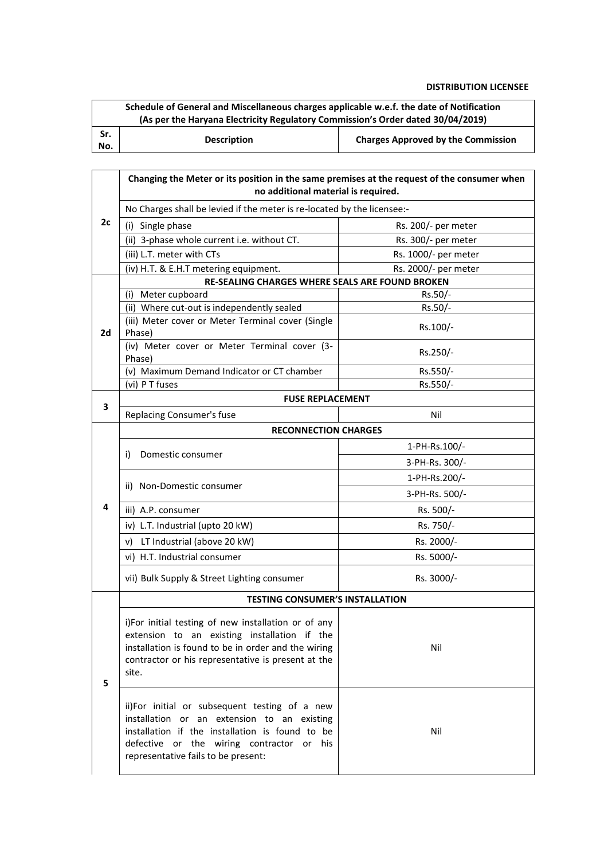| Schedule of General and Miscellaneous charges applicable w.e.f. the date of Notification<br>(As per the Haryana Electricity Regulatory Commission's Order dated 30/04/2019) |                    |                                           |
|-----------------------------------------------------------------------------------------------------------------------------------------------------------------------------|--------------------|-------------------------------------------|
| Sr.<br>No.                                                                                                                                                                  | <b>Description</b> | <b>Charges Approved by the Commission</b> |

|    | Changing the Meter or its position in the same premises at the request of the consumer when<br>no additional material is required.                                                                                                  |                      |  |
|----|-------------------------------------------------------------------------------------------------------------------------------------------------------------------------------------------------------------------------------------|----------------------|--|
|    | No Charges shall be levied if the meter is re-located by the licensee:-                                                                                                                                                             |                      |  |
| 2c | (i) Single phase                                                                                                                                                                                                                    | Rs. 200/- per meter  |  |
|    | (ii) 3-phase whole current i.e. without CT.                                                                                                                                                                                         | Rs. 300/- per meter  |  |
|    | (iii) L.T. meter with CTs                                                                                                                                                                                                           | Rs. 1000/- per meter |  |
|    | (iv) H.T. & E.H.T metering equipment.                                                                                                                                                                                               | Rs. 2000/- per meter |  |
|    | RE-SEALING CHARGES WHERE SEALS ARE FOUND BROKEN                                                                                                                                                                                     |                      |  |
|    | (i) Meter cupboard                                                                                                                                                                                                                  | $Rs.50/-$            |  |
|    | (ii) Where cut-out is independently sealed                                                                                                                                                                                          | Rs.50/-              |  |
| 2d | (iii) Meter cover or Meter Terminal cover (Single<br>Phase)                                                                                                                                                                         | Rs.100/-             |  |
|    | (iv) Meter cover or Meter Terminal cover (3-<br>Phase)                                                                                                                                                                              | Rs.250/-             |  |
|    | (v) Maximum Demand Indicator or CT chamber                                                                                                                                                                                          | Rs.550/-             |  |
|    | (vi) P T fuses                                                                                                                                                                                                                      | Rs.550/-             |  |
| 3  | <b>FUSE REPLACEMENT</b>                                                                                                                                                                                                             |                      |  |
|    | <b>Replacing Consumer's fuse</b>                                                                                                                                                                                                    | Nil                  |  |
|    | <b>RECONNECTION CHARGES</b>                                                                                                                                                                                                         |                      |  |
|    | Domestic consumer<br>i)                                                                                                                                                                                                             | 1-PH-Rs.100/-        |  |
|    |                                                                                                                                                                                                                                     | 3-PH-Rs. 300/-       |  |
|    | ii) Non-Domestic consumer                                                                                                                                                                                                           | 1-PH-Rs.200/-        |  |
|    |                                                                                                                                                                                                                                     | 3-PH-Rs. 500/-       |  |
| 4  | iii) A.P. consumer                                                                                                                                                                                                                  | Rs. 500/-            |  |
|    | iv) L.T. Industrial (upto 20 kW)                                                                                                                                                                                                    | Rs. 750/-            |  |
|    | v) LT Industrial (above 20 kW)                                                                                                                                                                                                      | Rs. 2000/-           |  |
|    | vi) H.T. Industrial consumer                                                                                                                                                                                                        | Rs. 5000/-           |  |
|    | vii) Bulk Supply & Street Lighting consumer                                                                                                                                                                                         | Rs. 3000/-           |  |
|    | <b>TESTING CONSUMER'S INSTALLATION</b>                                                                                                                                                                                              |                      |  |
| 5  | i)For initial testing of new installation or of any<br>extension to an existing installation if the<br>installation is found to be in order and the wiring<br>contractor or his representative is present at the<br>site.           | Nil                  |  |
|    | ii)For initial or subsequent testing of a new<br>installation or an extension to an existing<br>installation if the installation is found to be<br>defective or the wiring contractor or his<br>representative fails to be present: | Nil                  |  |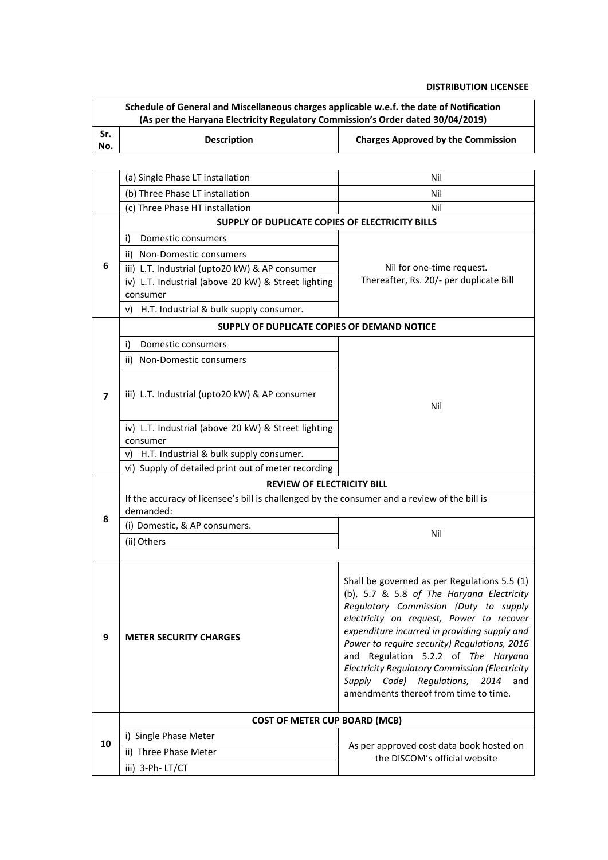|                                   | Schedule of General and Miscellaneous charges applicable w.e.f. the date of Notification<br>(As per the Haryana Electricity Regulatory Commission's Order dated 30/04/2019) |                                                                                         |  |
|-----------------------------------|-----------------------------------------------------------------------------------------------------------------------------------------------------------------------------|-----------------------------------------------------------------------------------------|--|
| Sr.<br>No.                        | <b>Description</b>                                                                                                                                                          | <b>Charges Approved by the Commission</b>                                               |  |
|                                   |                                                                                                                                                                             |                                                                                         |  |
|                                   | (a) Single Phase LT installation                                                                                                                                            | Nil                                                                                     |  |
|                                   | (b) Three Phase LT installation                                                                                                                                             | Nil                                                                                     |  |
|                                   | (c) Three Phase HT installation                                                                                                                                             | Nil                                                                                     |  |
|                                   | SUPPLY OF DUPLICATE COPIES OF ELECTRICITY BILLS                                                                                                                             |                                                                                         |  |
|                                   | Domestic consumers<br>i)                                                                                                                                                    |                                                                                         |  |
|                                   | <b>Non-Domestic consumers</b><br>ii)                                                                                                                                        |                                                                                         |  |
| 6                                 | iii) L.T. Industrial (upto20 kW) & AP consumer                                                                                                                              | Nil for one-time request.                                                               |  |
|                                   | iv) L.T. Industrial (above 20 kW) & Street lighting                                                                                                                         | Thereafter, Rs. 20/- per duplicate Bill                                                 |  |
|                                   | consumer                                                                                                                                                                    |                                                                                         |  |
|                                   | v) H.T. Industrial & bulk supply consumer.                                                                                                                                  |                                                                                         |  |
|                                   | SUPPLY OF DUPLICATE COPIES OF DEMAND NOTICE                                                                                                                                 |                                                                                         |  |
|                                   | Domestic consumers<br>i)                                                                                                                                                    |                                                                                         |  |
|                                   | ii) Non-Domestic consumers                                                                                                                                                  |                                                                                         |  |
|                                   |                                                                                                                                                                             |                                                                                         |  |
| 7                                 | iii) L.T. Industrial (upto20 kW) & AP consumer                                                                                                                              | Nil                                                                                     |  |
|                                   |                                                                                                                                                                             |                                                                                         |  |
|                                   | iv) L.T. Industrial (above 20 kW) & Street lighting                                                                                                                         |                                                                                         |  |
|                                   | consumer                                                                                                                                                                    |                                                                                         |  |
|                                   | H.T. Industrial & bulk supply consumer.<br>V)                                                                                                                               |                                                                                         |  |
|                                   | vi) Supply of detailed print out of meter recording                                                                                                                         |                                                                                         |  |
| <b>REVIEW OF ELECTRICITY BILL</b> |                                                                                                                                                                             |                                                                                         |  |
|                                   | If the accuracy of licensee's bill is challenged by the consumer and a review of the bill is                                                                                |                                                                                         |  |
| 8                                 | demanded:                                                                                                                                                                   |                                                                                         |  |
|                                   | (i) Domestic, & AP consumers.                                                                                                                                               | Nil                                                                                     |  |
|                                   | (ii) Others                                                                                                                                                                 |                                                                                         |  |
|                                   |                                                                                                                                                                             |                                                                                         |  |
|                                   |                                                                                                                                                                             | Shall be governed as per Regulations 5.5 (1)                                            |  |
|                                   |                                                                                                                                                                             | (b), 5.7 & 5.8 of The Haryana Electricity<br>Regulatory Commission (Duty to supply      |  |
|                                   |                                                                                                                                                                             | electricity on request, Power to recover                                                |  |
| 9                                 | <b>METER SECURITY CHARGES</b>                                                                                                                                               | expenditure incurred in providing supply and                                            |  |
|                                   |                                                                                                                                                                             | Power to require security) Regulations, 2016                                            |  |
|                                   |                                                                                                                                                                             | and Regulation 5.2.2 of The Haryana                                                     |  |
|                                   |                                                                                                                                                                             | Electricity Regulatory Commission (Electricity<br>Supply Code) Regulations, 2014<br>and |  |
|                                   |                                                                                                                                                                             | amendments thereof from time to time.                                                   |  |
|                                   |                                                                                                                                                                             |                                                                                         |  |
|                                   | <b>COST OF METER CUP BOARD (MCB)</b>                                                                                                                                        |                                                                                         |  |
| 10                                | i) Single Phase Meter                                                                                                                                                       | As per approved cost data book hosted on                                                |  |
|                                   | ii) Three Phase Meter                                                                                                                                                       | the DISCOM's official website                                                           |  |
|                                   | iii) 3-Ph-LT/CT                                                                                                                                                             |                                                                                         |  |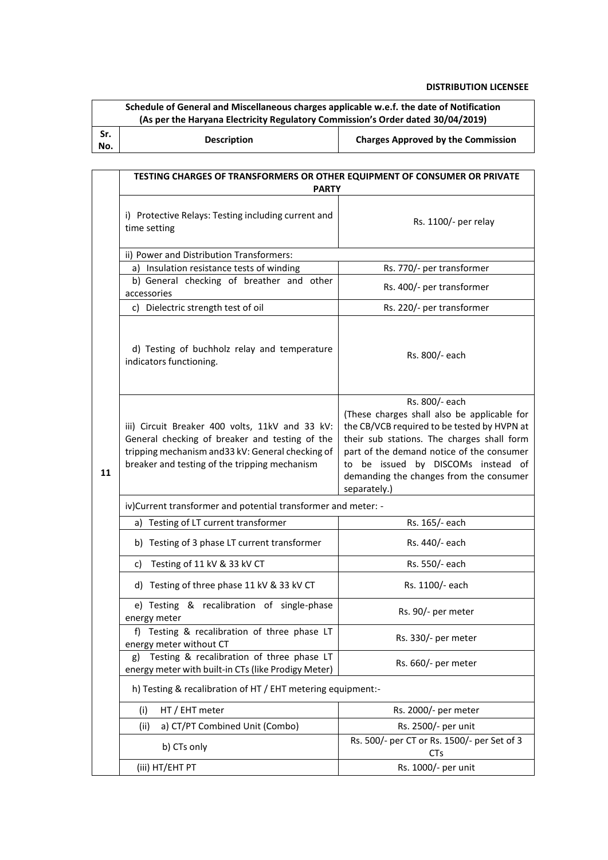|            | Schedule of General and Miscellaneous charges applicable w.e.f. the date of Notification<br>(As per the Haryana Electricity Regulatory Commission's Order dated 30/04/2019)                             |                                                                                                                                                                                                                                                                                                          |  |  |
|------------|---------------------------------------------------------------------------------------------------------------------------------------------------------------------------------------------------------|----------------------------------------------------------------------------------------------------------------------------------------------------------------------------------------------------------------------------------------------------------------------------------------------------------|--|--|
| Sr.<br>No. | <b>Description</b><br><b>Charges Approved by the Commission</b>                                                                                                                                         |                                                                                                                                                                                                                                                                                                          |  |  |
|            |                                                                                                                                                                                                         |                                                                                                                                                                                                                                                                                                          |  |  |
|            | TESTING CHARGES OF TRANSFORMERS OR OTHER EQUIPMENT OF CONSUMER OR PRIVATE<br><b>PARTY</b>                                                                                                               |                                                                                                                                                                                                                                                                                                          |  |  |
|            | i) Protective Relays: Testing including current and<br>time setting                                                                                                                                     | Rs. 1100/- per relay                                                                                                                                                                                                                                                                                     |  |  |
|            | ii) Power and Distribution Transformers:                                                                                                                                                                |                                                                                                                                                                                                                                                                                                          |  |  |
|            | a) Insulation resistance tests of winding                                                                                                                                                               | Rs. 770/- per transformer                                                                                                                                                                                                                                                                                |  |  |
|            | b) General checking of breather and other<br>accessories                                                                                                                                                | Rs. 400/- per transformer                                                                                                                                                                                                                                                                                |  |  |
|            | c) Dielectric strength test of oil                                                                                                                                                                      | Rs. 220/- per transformer                                                                                                                                                                                                                                                                                |  |  |
| 11         | d) Testing of buchholz relay and temperature<br>indicators functioning.                                                                                                                                 | Rs. 800/- each                                                                                                                                                                                                                                                                                           |  |  |
|            | iii) Circuit Breaker 400 volts, 11kV and 33 kV:<br>General checking of breaker and testing of the<br>tripping mechanism and 33 kV: General checking of<br>breaker and testing of the tripping mechanism | Rs. 800/- each<br>(These charges shall also be applicable for<br>the CB/VCB required to be tested by HVPN at<br>their sub stations. The charges shall form<br>part of the demand notice of the consumer<br>to be issued by DISCOMs instead of<br>demanding the changes from the consumer<br>separately.) |  |  |
|            | iv)Current transformer and potential transformer and meter: -                                                                                                                                           |                                                                                                                                                                                                                                                                                                          |  |  |
|            | a) Testing of LT current transformer                                                                                                                                                                    | Rs. 165/- each                                                                                                                                                                                                                                                                                           |  |  |
|            | b) Testing of 3 phase LT current transformer                                                                                                                                                            | Rs. 440/- each                                                                                                                                                                                                                                                                                           |  |  |
|            | Testing of 11 kV & 33 kV CT<br>C)                                                                                                                                                                       | Rs. 550/- each                                                                                                                                                                                                                                                                                           |  |  |
|            | d) Testing of three phase 11 kV & 33 kV CT                                                                                                                                                              | Rs. 1100/- each                                                                                                                                                                                                                                                                                          |  |  |
|            | e) Testing & recalibration of single-phase<br>energy meter                                                                                                                                              | Rs. 90/- per meter                                                                                                                                                                                                                                                                                       |  |  |
|            | f) Testing & recalibration of three phase LT<br>energy meter without CT                                                                                                                                 | Rs. 330/- per meter                                                                                                                                                                                                                                                                                      |  |  |
|            | Testing & recalibration of three phase LT<br>g)<br>energy meter with built-in CTs (like Prodigy Meter)                                                                                                  | Rs. 660/- per meter                                                                                                                                                                                                                                                                                      |  |  |
|            | h) Testing & recalibration of HT / EHT metering equipment:-                                                                                                                                             |                                                                                                                                                                                                                                                                                                          |  |  |
|            | (i)<br>HT / EHT meter                                                                                                                                                                                   | Rs. 2000/- per meter                                                                                                                                                                                                                                                                                     |  |  |
|            | a) CT/PT Combined Unit (Combo)<br>(ii)                                                                                                                                                                  | Rs. 2500/- per unit                                                                                                                                                                                                                                                                                      |  |  |
|            | b) CTs only                                                                                                                                                                                             | Rs. 500/- per CT or Rs. 1500/- per Set of 3<br><b>CTs</b>                                                                                                                                                                                                                                                |  |  |
|            | (iii) HT/EHT PT                                                                                                                                                                                         | Rs. 1000/- per unit                                                                                                                                                                                                                                                                                      |  |  |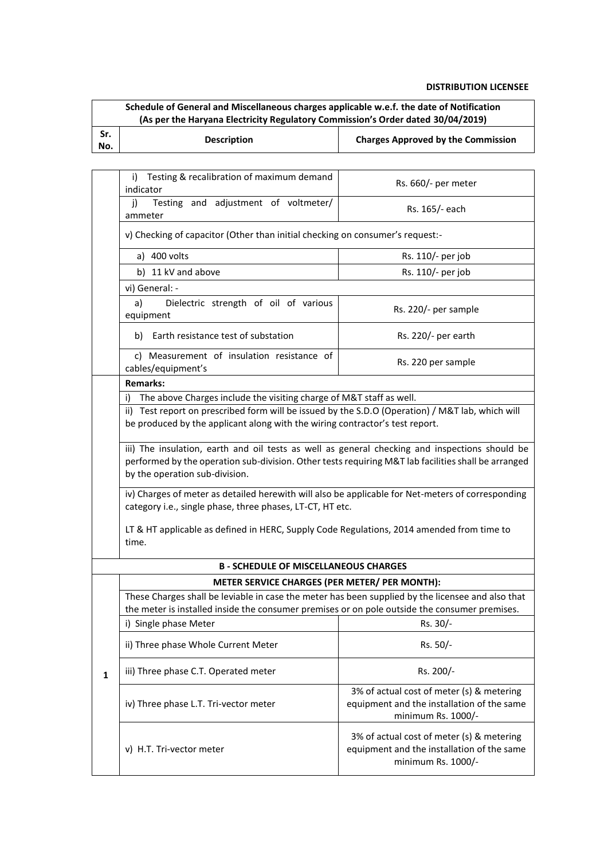| Schedule of General and Miscellaneous charges applicable w.e.f. the date of Notification |                                                                                 |                                           |  |  |
|------------------------------------------------------------------------------------------|---------------------------------------------------------------------------------|-------------------------------------------|--|--|
|                                                                                          | (As per the Haryana Electricity Regulatory Commission's Order dated 30/04/2019) |                                           |  |  |
| Sr.<br>No.                                                                               | <b>Description</b>                                                              | <b>Charges Approved by the Commission</b> |  |  |

|                                                                                                                                                                                                                                         | Testing & recalibration of maximum demand<br>i)<br>indicator                                                                                                                                       | Rs. 660/- per meter                                                                                           |  |
|-----------------------------------------------------------------------------------------------------------------------------------------------------------------------------------------------------------------------------------------|----------------------------------------------------------------------------------------------------------------------------------------------------------------------------------------------------|---------------------------------------------------------------------------------------------------------------|--|
|                                                                                                                                                                                                                                         | Testing and adjustment of voltmeter/<br>j)<br>ammeter                                                                                                                                              | Rs. 165/- each                                                                                                |  |
|                                                                                                                                                                                                                                         | v) Checking of capacitor (Other than initial checking on consumer's request:-                                                                                                                      |                                                                                                               |  |
|                                                                                                                                                                                                                                         | a) 400 volts                                                                                                                                                                                       | Rs. 110/- per job                                                                                             |  |
|                                                                                                                                                                                                                                         | b) 11 kV and above                                                                                                                                                                                 | Rs. 110/- per job                                                                                             |  |
|                                                                                                                                                                                                                                         | vi) General: -                                                                                                                                                                                     |                                                                                                               |  |
|                                                                                                                                                                                                                                         | a)<br>Dielectric strength of oil of various<br>equipment                                                                                                                                           | Rs. 220/- per sample                                                                                          |  |
|                                                                                                                                                                                                                                         | Earth resistance test of substation<br>b)                                                                                                                                                          | Rs. 220/- per earth                                                                                           |  |
|                                                                                                                                                                                                                                         | c) Measurement of insulation resistance of<br>cables/equipment's                                                                                                                                   | Rs. 220 per sample                                                                                            |  |
|                                                                                                                                                                                                                                         | <b>Remarks:</b>                                                                                                                                                                                    |                                                                                                               |  |
|                                                                                                                                                                                                                                         | The above Charges include the visiting charge of M&T staff as well.<br>i)                                                                                                                          |                                                                                                               |  |
|                                                                                                                                                                                                                                         | ii) Test report on prescribed form will be issued by the S.D.O (Operation) / M&T lab, which will<br>be produced by the applicant along with the wiring contractor's test report.                   |                                                                                                               |  |
| iii) The insulation, earth and oil tests as well as general checking and inspections should be<br>performed by the operation sub-division. Other tests requiring M&T lab facilities shall be arranged<br>by the operation sub-division. |                                                                                                                                                                                                    |                                                                                                               |  |
|                                                                                                                                                                                                                                         | iv) Charges of meter as detailed herewith will also be applicable for Net-meters of corresponding<br>category i.e., single phase, three phases, LT-CT, HT etc.                                     |                                                                                                               |  |
|                                                                                                                                                                                                                                         | LT & HT applicable as defined in HERC, Supply Code Regulations, 2014 amended from time to<br>time.                                                                                                 |                                                                                                               |  |
|                                                                                                                                                                                                                                         | <b>B - SCHEDULE OF MISCELLANEOUS CHARGES</b>                                                                                                                                                       |                                                                                                               |  |
|                                                                                                                                                                                                                                         | METER SERVICE CHARGES (PER METER/ PER MONTH):                                                                                                                                                      |                                                                                                               |  |
|                                                                                                                                                                                                                                         | These Charges shall be leviable in case the meter has been supplied by the licensee and also that<br>the meter is installed inside the consumer premises or on pole outside the consumer premises. |                                                                                                               |  |
|                                                                                                                                                                                                                                         | i) Single phase Meter                                                                                                                                                                              | Rs. 30/-                                                                                                      |  |
|                                                                                                                                                                                                                                         | ii) Three phase Whole Current Meter                                                                                                                                                                | Rs. 50/-                                                                                                      |  |
| $\mathbf{1}$                                                                                                                                                                                                                            | iii) Three phase C.T. Operated meter                                                                                                                                                               | Rs. 200/-                                                                                                     |  |
|                                                                                                                                                                                                                                         | iv) Three phase L.T. Tri-vector meter                                                                                                                                                              | 3% of actual cost of meter (s) & metering<br>equipment and the installation of the same<br>minimum Rs. 1000/- |  |
|                                                                                                                                                                                                                                         | v) H.T. Tri-vector meter                                                                                                                                                                           | 3% of actual cost of meter (s) & metering<br>equipment and the installation of the same<br>minimum Rs. 1000/- |  |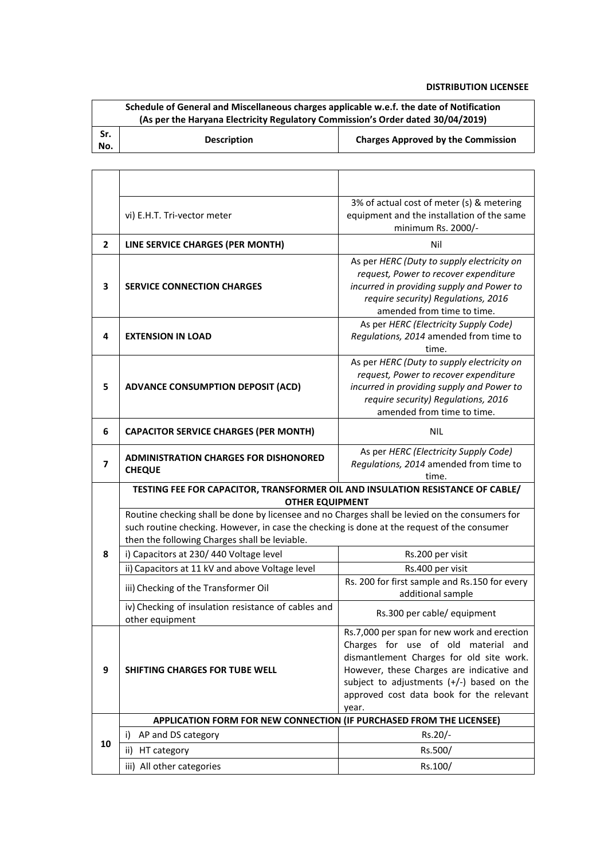|            | Schedule of General and Miscellaneous charges applicable w.e.f. the date of Notification |                                           |  |  |
|------------|------------------------------------------------------------------------------------------|-------------------------------------------|--|--|
|            | (As per the Haryana Electricity Regulatory Commission's Order dated 30/04/2019)          |                                           |  |  |
| Sr.<br>No. | <b>Description</b>                                                                       | <b>Charges Approved by the Commission</b> |  |  |

|                | vi) E.H.T. Tri-vector meter                                                                                                                                                                                                                    | 3% of actual cost of meter (s) & metering<br>equipment and the installation of the same<br>minimum Rs. 2000/-                                                                                                                                                                   |  |
|----------------|------------------------------------------------------------------------------------------------------------------------------------------------------------------------------------------------------------------------------------------------|---------------------------------------------------------------------------------------------------------------------------------------------------------------------------------------------------------------------------------------------------------------------------------|--|
| $\mathbf{2}$   | LINE SERVICE CHARGES (PER MONTH)                                                                                                                                                                                                               | Nil                                                                                                                                                                                                                                                                             |  |
| 3              | <b>SERVICE CONNECTION CHARGES</b>                                                                                                                                                                                                              | As per HERC (Duty to supply electricity on<br>request, Power to recover expenditure<br>incurred in providing supply and Power to<br>require security) Regulations, 2016<br>amended from time to time.                                                                           |  |
| 4              | <b>EXTENSION IN LOAD</b>                                                                                                                                                                                                                       | As per HERC (Electricity Supply Code)<br>Regulations, 2014 amended from time to<br>time.                                                                                                                                                                                        |  |
| 5              | <b>ADVANCE CONSUMPTION DEPOSIT (ACD)</b>                                                                                                                                                                                                       | As per HERC (Duty to supply electricity on<br>request, Power to recover expenditure<br>incurred in providing supply and Power to<br>require security) Regulations, 2016<br>amended from time to time.                                                                           |  |
| 6              | <b>CAPACITOR SERVICE CHARGES (PER MONTH)</b>                                                                                                                                                                                                   | <b>NIL</b>                                                                                                                                                                                                                                                                      |  |
| $\overline{ }$ | <b>ADMINISTRATION CHARGES FOR DISHONORED</b><br><b>CHEQUE</b>                                                                                                                                                                                  | As per HERC (Electricity Supply Code)<br>Regulations, 2014 amended from time to<br>time.                                                                                                                                                                                        |  |
|                | TESTING FEE FOR CAPACITOR, TRANSFORMER OIL AND INSULATION RESISTANCE OF CABLE/<br><b>OTHER EQUIPMENT</b>                                                                                                                                       |                                                                                                                                                                                                                                                                                 |  |
|                | Routine checking shall be done by licensee and no Charges shall be levied on the consumers for<br>such routine checking. However, in case the checking is done at the request of the consumer<br>then the following Charges shall be leviable. |                                                                                                                                                                                                                                                                                 |  |
| 8              | i) Capacitors at 230/440 Voltage level                                                                                                                                                                                                         | Rs.200 per visit                                                                                                                                                                                                                                                                |  |
|                | ii) Capacitors at 11 kV and above Voltage level                                                                                                                                                                                                |                                                                                                                                                                                                                                                                                 |  |
|                |                                                                                                                                                                                                                                                | Rs.400 per visit                                                                                                                                                                                                                                                                |  |
|                | iii) Checking of the Transformer Oil                                                                                                                                                                                                           | Rs. 200 for first sample and Rs.150 for every<br>additional sample                                                                                                                                                                                                              |  |
|                | iv) Checking of insulation resistance of cables and<br>other equipment                                                                                                                                                                         | Rs.300 per cable/ equipment                                                                                                                                                                                                                                                     |  |
| 9              | <b>SHIFTING CHARGES FOR TUBE WELL</b>                                                                                                                                                                                                          | Rs.7,000 per span for new work and erection<br>Charges for use of old material and<br>dismantlement Charges for old site work.<br>However, these Charges are indicative and<br>subject to adjustments $(+/-)$ based on the<br>approved cost data book for the relevant<br>year. |  |
|                | APPLICATION FORM FOR NEW CONNECTION (IF PURCHASED FROM THE LICENSEE)                                                                                                                                                                           |                                                                                                                                                                                                                                                                                 |  |
|                | AP and DS category<br>i)                                                                                                                                                                                                                       | Rs.20/-                                                                                                                                                                                                                                                                         |  |
| 10             | ii)<br>HT category                                                                                                                                                                                                                             | Rs.500/                                                                                                                                                                                                                                                                         |  |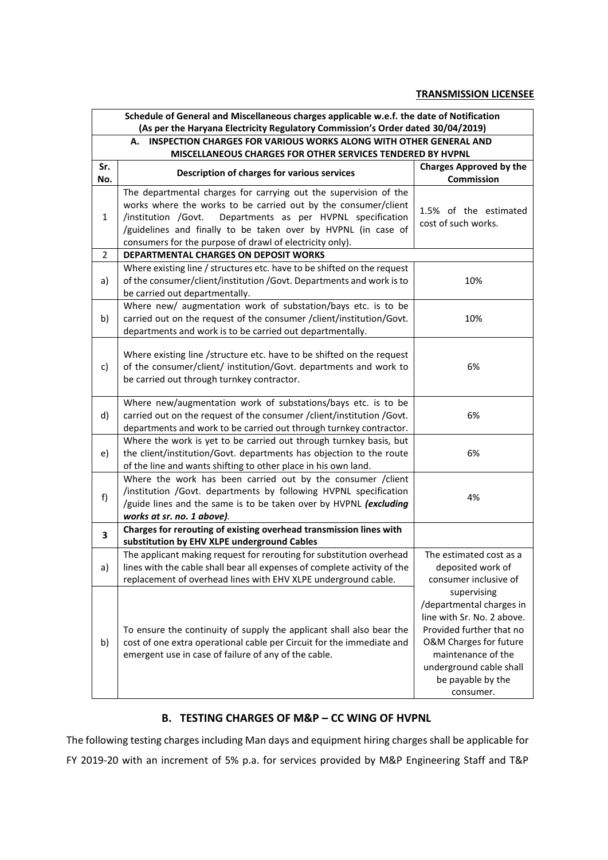#### **TRANSMISSION LICENSEE**

|                | Schedule of General and Miscellaneous charges applicable w.e.f. the date of Notification<br>(As per the Haryana Electricity Regulatory Commission's Order dated 30/04/2019)                                                                                                                                                      |                                                                                                                                                                                                                |  |
|----------------|----------------------------------------------------------------------------------------------------------------------------------------------------------------------------------------------------------------------------------------------------------------------------------------------------------------------------------|----------------------------------------------------------------------------------------------------------------------------------------------------------------------------------------------------------------|--|
|                | A. INSPECTION CHARGES FOR VARIOUS WORKS ALONG WITH OTHER GENERAL AND<br>MISCELLANEOUS CHARGES FOR OTHER SERVICES TENDERED BY HVPNL                                                                                                                                                                                               |                                                                                                                                                                                                                |  |
| Sr.<br>No.     | Description of charges for various services                                                                                                                                                                                                                                                                                      | <b>Charges Approved by the</b><br>Commission                                                                                                                                                                   |  |
| $\mathbf{1}$   | The departmental charges for carrying out the supervision of the<br>works where the works to be carried out by the consumer/client<br>Departments as per HVPNL specification<br>/institution /Govt.<br>/guidelines and finally to be taken over by HVPNL (in case of<br>consumers for the purpose of drawl of electricity only). | 1.5% of the estimated<br>cost of such works.                                                                                                                                                                   |  |
| $\overline{2}$ | DEPARTMENTAL CHARGES ON DEPOSIT WORKS                                                                                                                                                                                                                                                                                            |                                                                                                                                                                                                                |  |
| a)             | Where existing line / structures etc. have to be shifted on the request<br>of the consumer/client/institution /Govt. Departments and work is to<br>be carried out departmentally.                                                                                                                                                | 10%                                                                                                                                                                                                            |  |
| b)             | Where new/ augmentation work of substation/bays etc. is to be<br>carried out on the request of the consumer /client/institution/Govt.<br>departments and work is to be carried out departmentally.                                                                                                                               | 10%                                                                                                                                                                                                            |  |
| c)             | Where existing line /structure etc. have to be shifted on the request<br>of the consumer/client/ institution/Govt. departments and work to<br>be carried out through turnkey contractor.                                                                                                                                         | 6%                                                                                                                                                                                                             |  |
| d)             | Where new/augmentation work of substations/bays etc. is to be<br>carried out on the request of the consumer /client/institution /Govt.<br>departments and work to be carried out through turnkey contractor.                                                                                                                     | 6%                                                                                                                                                                                                             |  |
| e)             | Where the work is yet to be carried out through turnkey basis, but<br>the client/institution/Govt. departments has objection to the route<br>of the line and wants shifting to other place in his own land.                                                                                                                      | 6%                                                                                                                                                                                                             |  |
| f)             | Where the work has been carried out by the consumer / client<br>/institution /Govt. departments by following HVPNL specification<br>/guide lines and the same is to be taken over by HVPNL (excluding<br>works at sr. no. 1 above).                                                                                              | 4%                                                                                                                                                                                                             |  |
| 3              | Charges for rerouting of existing overhead transmission lines with<br>substitution by EHV XLPE underground Cables                                                                                                                                                                                                                |                                                                                                                                                                                                                |  |
| a)             | The applicant making request for rerouting for substitution overhead<br>lines with the cable shall bear all expenses of complete activity of the<br>replacement of overhead lines with EHV XLPE underground cable.                                                                                                               | The estimated cost as a<br>deposited work of<br>consumer inclusive of                                                                                                                                          |  |
| b)             | To ensure the continuity of supply the applicant shall also bear the<br>cost of one extra operational cable per Circuit for the immediate and<br>emergent use in case of failure of any of the cable.                                                                                                                            | supervising<br>/departmental charges in<br>line with Sr. No. 2 above.<br>Provided further that no<br>O&M Charges for future<br>maintenance of the<br>underground cable shall<br>be payable by the<br>consumer. |  |

## **B. TESTING CHARGES OF M&P – CC WING OF HVPNL**

The following testing charges including Man days and equipment hiring charges shall be applicable for FY 2019-20 with an increment of 5% p.a. for services provided by M&P Engineering Staff and T&P